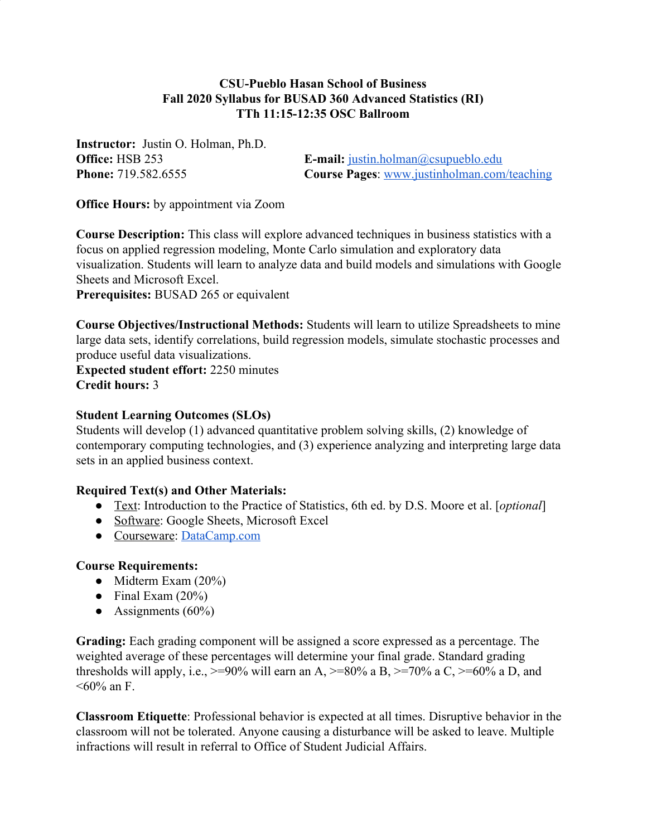# **CSU-Pueblo Hasan School of Business Fall 2020 Syllabus for BUSAD 360 Advanced Statistics (RI) TTh 11:15-12:35 OSC Ballroom**

**Instructor:** Justin O. Holman, Ph.D.

**Office:** HSB 253 **E-mail:**  $j$ ustin.holman@csupueblo.edu **Phone:** 719.582.6555 **Course Pages**: [www.justinholman.com/teaching](http://www.justinholman.com/teaching)

**Office Hours:** by appointment via Zoom

**Course Description:** This class will explore advanced techniques in business statistics with a focus on applied regression modeling, Monte Carlo simulation and exploratory data visualization. Students will learn to analyze data and build models and simulations with Google Sheets and Microsoft Excel.

**Prerequisites:** BUSAD 265 or equivalent

**Course Objectives/Instructional Methods:** Students will learn to utilize Spreadsheets to mine large data sets, identify correlations, build regression models, simulate stochastic processes and produce useful data visualizations.

**Expected student effort:** 2250 minutes **Credit hours:** 3

### **Student Learning Outcomes (SLOs)**

Students will develop (1) advanced quantitative problem solving skills, (2) knowledge of contemporary computing technologies, and (3) experience analyzing and interpreting large data sets in an applied business context.

# **Required Text(s) and Other Materials:**

- Text: Introduction to the Practice of Statistics, 6th ed. by D.S. Moore et al. [*optional*]
- Software: Google Sheets, Microsoft Excel
- Courseware: [DataCamp.com](https://www.datacamp.com/)

### **Course Requirements:**

- Midterm Exam  $(20\%)$
- Final Exam  $(20\%)$
- Assignments  $(60\%)$

**Grading:** Each grading component will be assigned a score expressed as a percentage. The weighted average of these percentages will determine your final grade. Standard grading thresholds will apply, i.e.,  $>= 90\%$  will earn an A,  $>= 80\%$  a B,  $>= 70\%$  a C,  $>= 60\%$  a D, and  $<60\%$  an F.

**Classroom Etiquette**: Professional behavior is expected at all times. Disruptive behavior in the classroom will not be tolerated. Anyone causing a disturbance will be asked to leave. Multiple infractions will result in referral to Office of Student Judicial Affairs.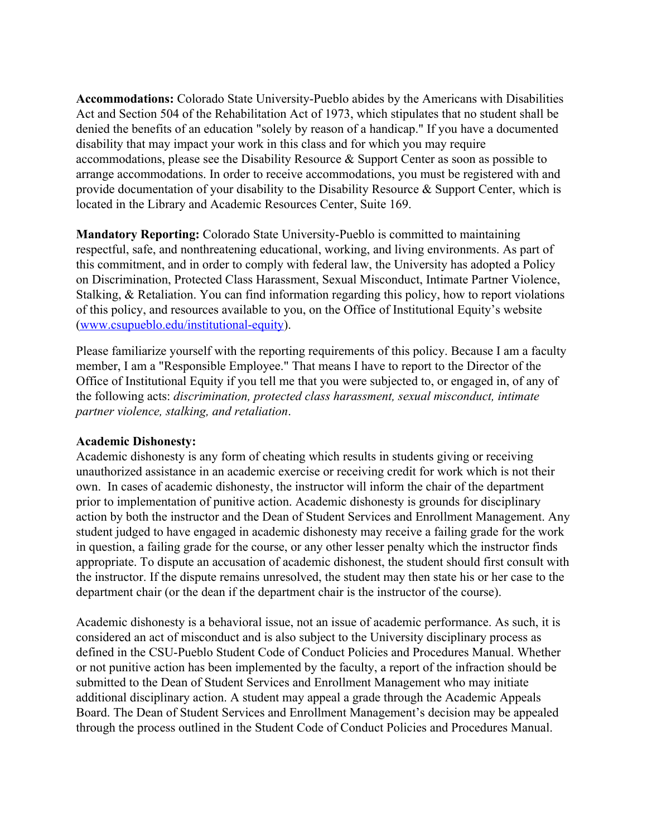**Accommodations:** Colorado State University-Pueblo abides by the Americans with Disabilities Act and Section 504 of the Rehabilitation Act of 1973, which stipulates that no student shall be denied the benefits of an education "solely by reason of a handicap." If you have a documented disability that may impact your work in this class and for which you may require accommodations, please see the Disability Resource & Support Center as soon as possible to arrange accommodations. In order to receive accommodations, you must be registered with and provide documentation of your disability to the Disability Resource & Support Center, which is located in the Library and Academic Resources Center, Suite 169.

**Mandatory Reporting:** Colorado State University-Pueblo is committed to maintaining respectful, safe, and nonthreatening educational, working, and living environments. As part of this commitment, and in order to comply with federal law, the University has adopted a Policy on Discrimination, Protected Class Harassment, Sexual Misconduct, Intimate Partner Violence, Stalking, & Retaliation. You can find information regarding this policy, how to report violations of this policy, and resources available to you, on the Office of Institutional Equity's website ([www.csupueblo.edu/institutional-equity](http://www.csupueblo.edu/institutional-equity)).

Please familiarize yourself with the reporting requirements of this policy. Because I am a faculty member, I am a "Responsible Employee." That means I have to report to the Director of the Office of Institutional Equity if you tell me that you were subjected to, or engaged in, of any of the following acts: *discrimination, protected class harassment, sexual misconduct, intimate partner violence, stalking, and retaliation*.

### **Academic Dishonesty:**

Academic dishonesty is any form of cheating which results in students giving or receiving unauthorized assistance in an academic exercise or receiving credit for work which is not their own. In cases of academic dishonesty, the instructor will inform the chair of the department prior to implementation of punitive action. Academic dishonesty is grounds for disciplinary action by both the instructor and the Dean of Student Services and Enrollment Management. Any student judged to have engaged in academic dishonesty may receive a failing grade for the work in question, a failing grade for the course, or any other lesser penalty which the instructor finds appropriate. To dispute an accusation of academic dishonest, the student should first consult with the instructor. If the dispute remains unresolved, the student may then state his or her case to the department chair (or the dean if the department chair is the instructor of the course).

Academic dishonesty is a behavioral issue, not an issue of academic performance. As such, it is considered an act of misconduct and is also subject to the University disciplinary process as defined in the CSU-Pueblo Student Code of Conduct Policies and Procedures Manual. Whether or not punitive action has been implemented by the faculty, a report of the infraction should be submitted to the Dean of Student Services and Enrollment Management who may initiate additional disciplinary action. A student may appeal a grade through the Academic Appeals Board. The Dean of Student Services and Enrollment Management's decision may be appealed through the process outlined in the Student Code of Conduct Policies and Procedures Manual.